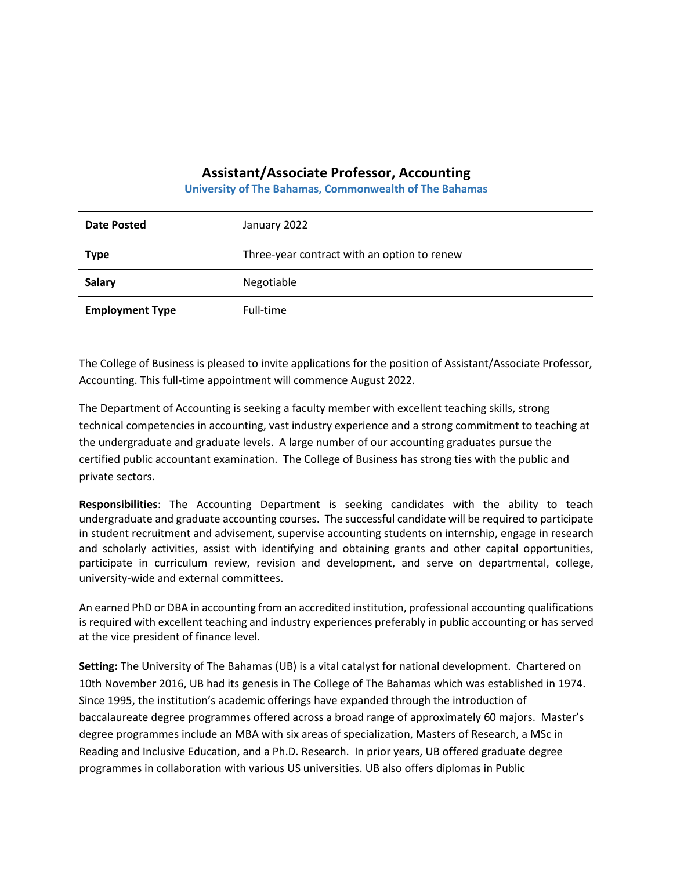## **Assistant/Associate Professor, Accounting**

**University of The Bahamas, Commonwealth of The Bahamas**

| <b>Date Posted</b>     | January 2022                                |
|------------------------|---------------------------------------------|
| <b>Type</b>            | Three-year contract with an option to renew |
| <b>Salary</b>          | Negotiable                                  |
| <b>Employment Type</b> | Full-time                                   |

The College of Business is pleased to invite applications for the position of Assistant/Associate Professor, Accounting. This full-time appointment will commence August 2022.

The Department of Accounting is seeking a faculty member with excellent teaching skills, strong technical competencies in accounting, vast industry experience and a strong commitment to teaching at the undergraduate and graduate levels. A large number of our accounting graduates pursue the certified public accountant examination. The College of Business has strong ties with the public and private sectors.

**Responsibilities**: The Accounting Department is seeking candidates with the ability to teach undergraduate and graduate accounting courses. The successful candidate will be required to participate in student recruitment and advisement, supervise accounting students on internship, engage in research and scholarly activities, assist with identifying and obtaining grants and other capital opportunities, participate in curriculum review, revision and development, and serve on departmental, college, university-wide and external committees.

An earned PhD or DBA in accounting from an accredited institution, professional accounting qualifications is required with excellent teaching and industry experiences preferably in public accounting or has served at the vice president of finance level.

**Setting:** The University of The Bahamas (UB) is a vital catalyst for national development. Chartered on 10th November 2016, UB had its genesis in The College of The Bahamas which was established in 1974. Since 1995, the institution's academic offerings have expanded through the introduction of baccalaureate degree programmes offered across a broad range of approximately 60 majors. Master's degree programmes include an MBA with six areas of specialization, Masters of Research, a MSc in Reading and Inclusive Education, and a Ph.D. Research. In prior years, UB offered graduate degree programmes in collaboration with various US universities. UB also offers diplomas in Public